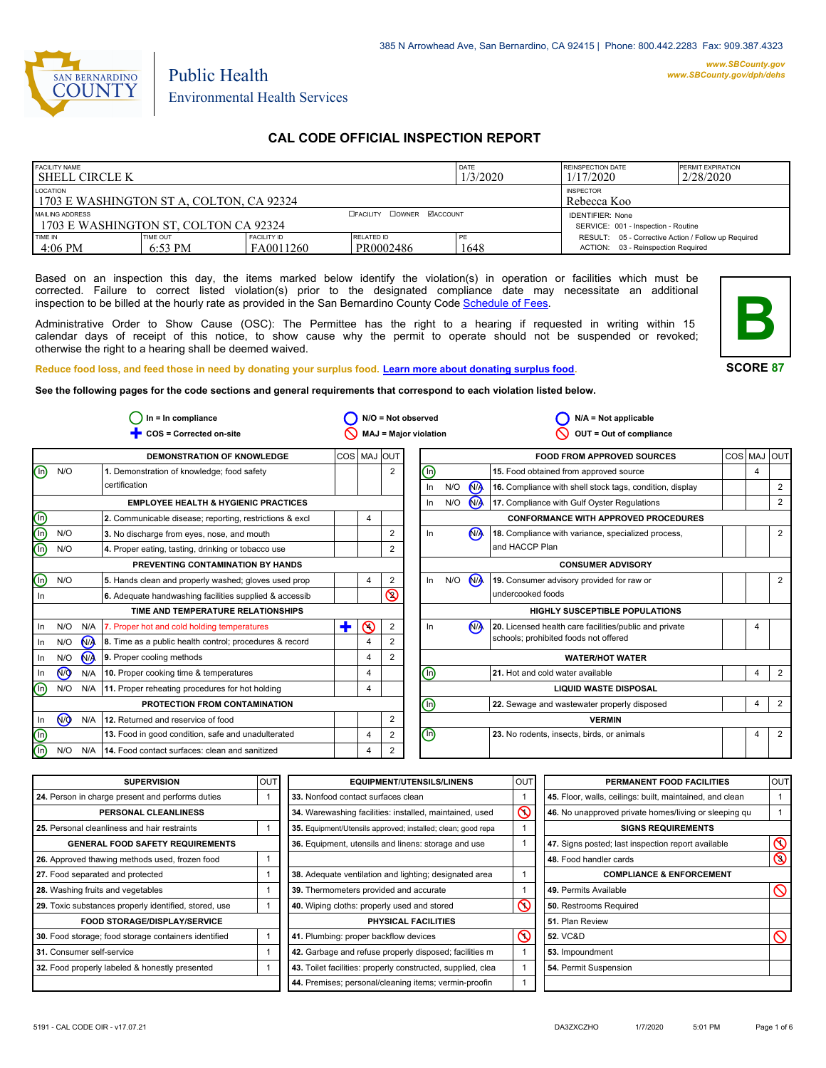

# Public Health Environmental Health Services

## **CAL CODE OFFICIAL INSPECTION REPORT**

| <b>FACILITY NAME</b><br>I SHELL CIRCLE K                 |                            |                                                                | DATE<br>1/3/2020        | <b>REINSPECTION DATE</b><br>1/17/2020 | <b>PERMIT EXPIRATION</b><br>2/28/2020                                                     |  |
|----------------------------------------------------------|----------------------------|----------------------------------------------------------------|-------------------------|---------------------------------------|-------------------------------------------------------------------------------------------|--|
| LOCATION<br>1703 E WASHINGTON ST A, COLTON, CA 92324     |                            | <b>INSPECTOR</b><br>Rebecca Koo                                |                         |                                       |                                                                                           |  |
| MAILING ADDRESS<br>1703 E WASHINGTON ST. COLTON CA 92324 |                            | <b>IDENTIFIER: None</b><br>SERVICE: 001 - Inspection - Routine |                         |                                       |                                                                                           |  |
| TIME IN<br>$4:06$ PM                                     | <b>TIME OUT</b><br>6:53 PM | FACILITY ID<br>FA0011260                                       | RELATED ID<br>PR0002486 | PE<br>1648                            | RESULT: 05 - Corrective Action / Follow up Required<br>ACTION: 03 - Reinspection Required |  |

Based on an inspection this day, the items marked below identify the violation(s) in operation or facilities which must be corrected. Failure to correct listed violation(s) prior to the designated compliance date may necessitate an additional inspection to be billed at the hourly rate as provided in the San Bernardino County Code Schedule [of Fees.](http://www.amlegal.com/nxt/gateway.dll/California/sanbernardinocounty_ca/title1governmentandadministration/division6countyfees/chapter2scheduleoffees?f=templates$fn=default.htm$3.0$vid=amlegal:sanbernardinocounty_ca$anc=JD_16.0213B)

Administrative Order to Show Cause (OSC): The Permittee has the right to a hearing if requested in writing within 15 calendar days of receipt of this notice, to show cause why the permit to operate should not be suspended or revoked; otherwise the right to a hearing shall be deemed waived.



**SCORE 87**

**Reduce food loss, and feed those in need by donating your surplus food. Learn mor[e about donating surplus food.](http://wp.sbcounty.gov/dph/programs/ehs/food-facilities/)**

**See the following pages for the code sections and general requirements that correspond to each violation listed below.**

|                  | $ln = ln$ compliance |                | $N/O = Not observed$                                    |     |                |                |                       | $N/A = Not applicable$ |                      |                                                          |             |                |
|------------------|----------------------|----------------|---------------------------------------------------------|-----|----------------|----------------|-----------------------|------------------------|----------------------|----------------------------------------------------------|-------------|----------------|
|                  |                      |                | COS = Corrected on-site                                 |     |                |                | MAJ = Major violation |                        |                      | OUT = Out of compliance                                  |             |                |
|                  |                      |                | <b>DEMONSTRATION OF KNOWLEDGE</b>                       |     |                | COS MAJ OUT    |                       |                        |                      | <b>FOOD FROM APPROVED SOURCES</b>                        | COS MAJ OUT |                |
| $\circledcirc$   | N/O                  |                | 1. Demonstration of knowledge; food safety              |     |                | $\overline{2}$ | ⑯                     |                        |                      | 15. Food obtained from approved source                   | 4           |                |
|                  |                      |                | certification                                           |     |                |                | In                    | N/O                    | <b>N<sub>A</sub></b> | 16. Compliance with shell stock tags, condition, display |             | $\overline{2}$ |
|                  |                      |                | <b>EMPLOYEE HEALTH &amp; HYGIENIC PRACTICES</b>         |     |                |                | In                    | N/O                    | N                    | 17. Compliance with Gulf Oyster Regulations              |             | $\overline{2}$ |
| $\textcirclede}$ |                      |                | 2. Communicable disease; reporting, restrictions & excl |     | 4              |                |                       |                        |                      | <b>CONFORMANCE WITH APPROVED PROCEDURES</b>              |             |                |
|                  | N/O                  |                | 3. No discharge from eyes, nose, and mouth              |     |                | 2              | In                    |                        | N <sub>A</sub>       | 18. Compliance with variance, specialized process,       |             | 2              |
|                  | N/O                  |                | 4. Proper eating, tasting, drinking or tobacco use      |     |                | $\overline{2}$ |                       |                        |                      | and HACCP Plan                                           |             |                |
|                  |                      |                | PREVENTING CONTAMINATION BY HANDS                       |     |                |                |                       |                        |                      | <b>CONSUMER ADVISORY</b>                                 |             |                |
| ⑯                | N/O                  |                | 5. Hands clean and properly washed; gloves used prop    |     | 4              | 2              | In                    | N/O                    | N                    | 19. Consumer advisory provided for raw or                |             | 2              |
| In               |                      |                | 6. Adequate handwashing facilities supplied & accessib  |     |                | Q              |                       |                        |                      | undercooked foods                                        |             |                |
|                  |                      |                | TIME AND TEMPERATURE RELATIONSHIPS                      |     |                |                |                       |                        |                      | <b>HIGHLY SUSCEPTIBLE POPULATIONS</b>                    |             |                |
| -In              | N/O                  |                | N/A   7. Proper hot and cold holding temperatures       | - 1 | ര              | 2              | In                    |                        | N <sub>A</sub>       | 20. Licensed health care facilities/public and private   | 4           |                |
| In               | N/O                  | $N_A$          | 8. Time as a public health control; procedures & record |     | $\overline{4}$ | 2              |                       |                        |                      | schools; prohibited foods not offered                    |             |                |
| In               | N/O                  | N <sub>A</sub> | 9. Proper cooling methods                               |     | $\overline{4}$ | $\overline{2}$ |                       |                        |                      | <b>WATER/HOT WATER</b>                                   |             |                |
| In               | 7                    | N/A            | 10. Proper cooking time & temperatures                  |     | 4              |                | ⑯                     |                        |                      | 21. Hot and cold water available                         | 4           | $\overline{2}$ |
| O)               | N/O                  | N/A            | 11. Proper reheating procedures for hot holding         |     | $\overline{4}$ |                |                       |                        |                      | <b>LIQUID WASTE DISPOSAL</b>                             |             |                |
|                  |                      |                | PROTECTION FROM CONTAMINATION                           |     |                |                | ⋒                     |                        |                      | 22. Sewage and wastewater properly disposed              | 4           | $\overline{2}$ |
| In               | N <sub>O</sub>       | N/A            | 12. Returned and reservice of food                      |     |                | $\overline{2}$ |                       |                        |                      | <b>VERMIN</b>                                            |             |                |
|                  |                      |                | 13. Food in good condition, safe and unadulterated      |     | 4              | 2              | ⊕                     |                        |                      | 23. No rodents, insects, birds, or animals               | 4           | 2              |
| G)               | N/O                  | N/A            | 14. Food contact surfaces: clean and sanitized          |     | 4              | 2              |                       |                        |                      |                                                          |             |                |

| <b>SUPERVISION</b>                                    | <b>OUT</b> | <b>EQUIPMENT/UTENSILS/LINENS</b>                             | OU <sub>1</sub>         | PERMANENT FOOD FACILITIES                                | <b>OUT</b>              |
|-------------------------------------------------------|------------|--------------------------------------------------------------|-------------------------|----------------------------------------------------------|-------------------------|
| 24. Person in charge present and performs duties      |            | 33. Nonfood contact surfaces clean                           |                         | 45. Floor, walls, ceilings: built, maintained, and clean |                         |
| PERSONAL CLEANLINESS                                  |            | 34. Warewashing facilities: installed, maintained, used      | $\overline{\mathsf{S}}$ | 46. No unapproved private homes/living or sleeping qu    |                         |
| 25. Personal cleanliness and hair restraints          |            | 35. Equipment/Utensils approved; installed; clean; good repa |                         | <b>SIGNS REQUIREMENTS</b>                                |                         |
| <b>GENERAL FOOD SAFETY REQUIREMENTS</b>               |            | 36. Equipment, utensils and linens: storage and use          |                         | 47. Signs posted; last inspection report available       | $\infty$                |
| 26. Approved thawing methods used, frozen food        |            |                                                              |                         | 48. Food handler cards                                   | $\circledcirc$          |
| 27. Food separated and protected                      |            | 38. Adequate ventilation and lighting; designated area       |                         | <b>COMPLIANCE &amp; ENFORCEMENT</b>                      |                         |
| 28. Washing fruits and vegetables                     |            | 39. Thermometers provided and accurate                       |                         | 49. Permits Available                                    | $\mathsf{\circledcirc}$ |
| 29. Toxic substances properly identified, stored, use |            | 40. Wiping cloths: properly used and stored                  | ᠺ                       | 50. Restrooms Required                                   |                         |
| <b>FOOD STORAGE/DISPLAY/SERVICE</b>                   |            | PHYSICAL FACILITIES                                          |                         | 51. Plan Review                                          |                         |
| 30. Food storage; food storage containers identified  |            | 41. Plumbing: proper backflow devices                        | $\infty$                | <b>52. VC&amp;D</b>                                      | Ø                       |
| 31. Consumer self-service                             |            | 42. Garbage and refuse properly disposed; facilities m       |                         | 53. Impoundment                                          |                         |
| 32. Food properly labeled & honestly presented        |            | 43. Toilet facilities: properly constructed, supplied, clea  |                         | 54. Permit Suspension                                    |                         |
|                                                       |            | 44. Premises; personal/cleaning items; vermin-proofin        |                         |                                                          |                         |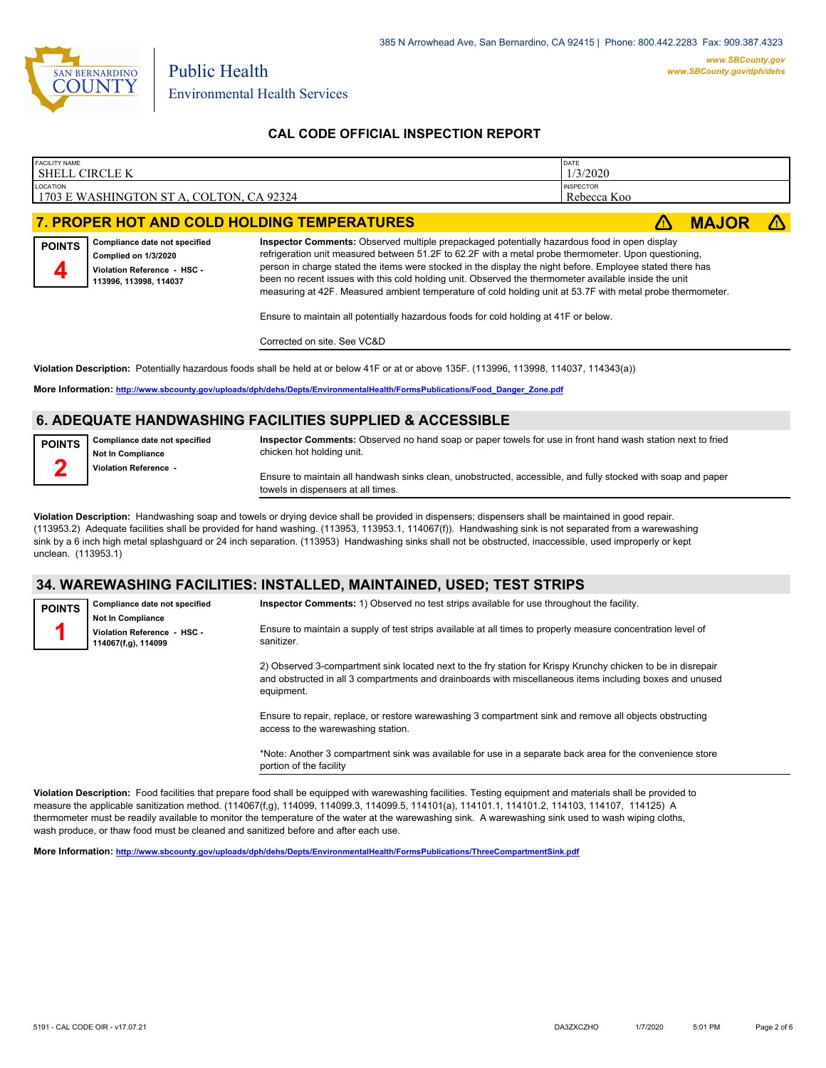

| <b>FACILITY NAME</b>                               | <b>DATE</b>      |
|----------------------------------------------------|------------------|
| I SHELL CIRCLE K                                   | 1/3/2020         |
| LOCATION                                           | <b>INSPECTOR</b> |
| 1703 E WASHINGTON ST A, COLTON, CA 92324           | Rebecca Koo      |
| <b>E BRABER HAT AND AALB HALBING TEMBER LTUREA</b> | <b>BEA IAM</b>   |

#### **7. PROPER HOT AND COLD HOLDING TEMPERATURES** ê**! MAJOR** ê**!**

| <b>POINTS</b> | Compliance date not specified                         |
|---------------|-------------------------------------------------------|
|               | <b>Complied on 1/3/2020</b>                           |
|               | Violation Reference - HSC -<br>113996, 113998, 114037 |
|               |                                                       |

**Inspector Comments:** Observed multiple prepackaged potentially hazardous food in open display refrigeration unit measured between 51.2F to 62.2F with a metal probe thermometer. Upon questioning, person in charge stated the items were stocked in the display the night before. Employee stated there has been no recent issues with this cold holding unit. Observed the thermometer available inside the unit measuring at 42F. Measured ambient temperature of cold holding unit at 53.7F with metal probe thermometer.

Ensure to maintain all potentially hazardous foods for cold holding at 41F or below.

Corrected on site. See VC&D

**Violation Description:** Potentially hazardous foods shall be held at or below 41F or at or above 135F. (113996, 113998, 114037, 114343(a))

**More Information: [http://www.sbcounty.gov/uploads/dph/dehs/Depts/EnvironmentalHealth/FormsPublications/Food\\_Danger\\_Zone.pdf](http://www.sbcounty.gov/uploads/dph/dehs/Depts/EnvironmentalHealth/FormsPublications/Food_Danger_Zone.pdf)**

### **6. ADEQUATE HANDWASHING FACILITIES SUPPLIED & ACCESSIBLE**

**Compliance date not specified Not In Compliance Violation Reference - POINTS 2 Inspector Comments:** Observed no hand soap or paper towels for use in front hand wash station next to fried chicken hot holding unit. Ensure to maintain all handwash sinks clean, unobstructed, accessible, and fully stocked with soap and paper

towels in dispensers at all times.

**Violation Description:** Handwashing soap and towels or drying device shall be provided in dispensers; dispensers shall be maintained in good repair. (113953.2) Adequate facilities shall be provided for hand washing. (113953, 113953.1, 114067(f)). Handwashing sink is not separated from a warewashing sink by a 6 inch high metal splashguard or 24 inch separation. (113953) Handwashing sinks shall not be obstructed, inaccessible, used improperly or kept unclean. (113953.1)

#### **34. WAREWASHING FACILITIES: INSTALLED, MAINTAINED, USED; TEST STRIPS**

| <b>POINTS</b> | Compliance date not specified                      | Inspector Comments: 1) Observed no test strips available for use throughout the facility.                                  |  |  |  |
|---------------|----------------------------------------------------|----------------------------------------------------------------------------------------------------------------------------|--|--|--|
|               | <b>Not In Compliance</b>                           |                                                                                                                            |  |  |  |
|               | Violation Reference - HSC -<br>114067(f,g), 114099 | Ensure to maintain a supply of test strips available at all times to properly measure concentration level of<br>sanitizer. |  |  |  |
|               |                                                    | 2) Observed 3-compartment sink located next to the fry station for Krispy Krunchy chicken to be in disrepair               |  |  |  |

and obstructed in all 3 compartments and drainboards with miscellaneous items including boxes and unused equipment.

Ensure to repair, replace, or restore warewashing 3 compartment sink and remove all objects obstructing access to the warewashing station.

\*Note: Another 3 compartment sink was available for use in a separate back area for the convenience store portion of the facility

**Violation Description:** Food facilities that prepare food shall be equipped with warewashing facilities. Testing equipment and materials shall be provided to measure the applicable sanitization method. (114067(f,g), 114099, 114099.3, 114099.5, 114101(a), 114101.1, 114101.2, 114103, 114107, 114125) A thermometer must be readily available to monitor the temperature of the water at the warewashing sink. A warewashing sink used to wash wiping cloths, wash produce, or thaw food must be cleaned and sanitized before and after each use.

**More Information: <http://www.sbcounty.gov/uploads/dph/dehs/Depts/EnvironmentalHealth/FormsPublications/ThreeCompartmentSink.pdf>**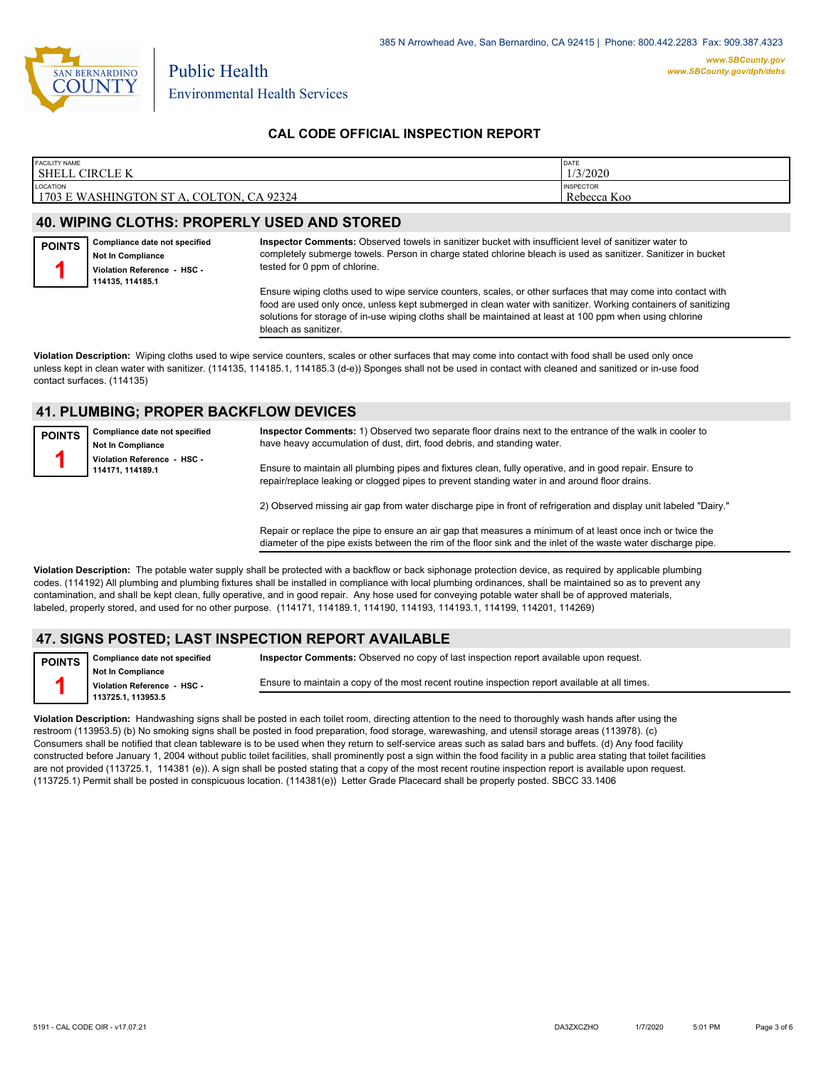

| <b>FACILITY NAME</b>                     | DATE             |
|------------------------------------------|------------------|
| <b>SHELL CIRCLE K</b>                    | 1/3/2020         |
| LOCATION                                 | <b>INSPECTOR</b> |
| 1703 E WASHINGTON ST A, COLTON, CA 92324 | Rebecca Koo      |

### **40. WIPING CLOTHS: PROPERLY USED AND STORED**

| <b>POINTS</b> | Compliance date not specified |
|---------------|-------------------------------|
|               | Not In Compliance             |
|               | Violation Reference - HSC -   |
|               | 114135, 114185.1              |

**Inspector Comments:** Observed towels in sanitizer bucket with insufficient level of sanitizer water to completely submerge towels. Person in charge stated chlorine bleach is used as sanitizer. Sanitizer in bucket tested for 0 ppm of chlorine.

Ensure wiping cloths used to wipe service counters, scales, or other surfaces that may come into contact with food are used only once, unless kept submerged in clean water with sanitizer. Working containers of sanitizing solutions for storage of in-use wiping cloths shall be maintained at least at 100 ppm when using chlorine bleach as sanitizer.

**Violation Description:** Wiping cloths used to wipe service counters, scales or other surfaces that may come into contact with food shall be used only once unless kept in clean water with sanitizer. (114135, 114185.1, 114185.3 (d-e)) Sponges shall not be used in contact with cleaned and sanitized or in-use food contact surfaces. (114135)

#### **41. PLUMBING; PROPER BACKFLOW DEVICES**

| <b>POINTS</b> | Compliance date not specified<br><b>Not In Compliance</b> | Inspector Comments: 1) Observed two separate floor drains next to the entrance of the walk in cooler to<br>have heavy accumulation of dust, dirt, food debris, and standing water.                        |
|---------------|-----------------------------------------------------------|-----------------------------------------------------------------------------------------------------------------------------------------------------------------------------------------------------------|
|               | Violation Reference - HSC -<br>114171, 114189.1           | Ensure to maintain all plumbing pipes and fixtures clean, fully operative, and in good repair. Ensure to<br>repair/replace leaking or clogged pipes to prevent standing water in and around floor drains. |
|               |                                                           | 2) Observed missing air gap from water discharge pipe in front of refrigeration and display unit labeled "Dairy."                                                                                         |
|               |                                                           |                                                                                                                                                                                                           |

Repair or replace the pipe to ensure an air gap that measures a minimum of at least once inch or twice the diameter of the pipe exists between the rim of the floor sink and the inlet of the waste water discharge pipe.

**Violation Description:** The potable water supply shall be protected with a backflow or back siphonage protection device, as required by applicable plumbing codes. (114192) All plumbing and plumbing fixtures shall be installed in compliance with local plumbing ordinances, shall be maintained so as to prevent any contamination, and shall be kept clean, fully operative, and in good repair. Any hose used for conveying potable water shall be of approved materials, labeled, properly stored, and used for no other purpose. (114171, 114189.1, 114190, 114193, 114193.1, 114199, 114201, 114269)

### **47. SIGNS POSTED; LAST INSPECTION REPORT AVAILABLE**

**Compliance date not specified Not In Compliance Violation Reference - HSC - 113725.1, 113953.5 POINTS 1 Inspector Comments:** Observed no copy of last inspection report available upon request. Ensure to maintain a copy of the most recent routine inspection report available at all times.

**Violation Description:** Handwashing signs shall be posted in each toilet room, directing attention to the need to thoroughly wash hands after using the restroom (113953.5) (b) No smoking signs shall be posted in food preparation, food storage, warewashing, and utensil storage areas (113978). (c) Consumers shall be notified that clean tableware is to be used when they return to self-service areas such as salad bars and buffets. (d) Any food facility constructed before January 1, 2004 without public toilet facilities, shall prominently post a sign within the food facility in a public area stating that toilet facilities are not provided (113725.1, 114381 (e)). A sign shall be posted stating that a copy of the most recent routine inspection report is available upon request. (113725.1) Permit shall be posted in conspicuous location. (114381(e)) Letter Grade Placecard shall be properly posted. SBCC 33.1406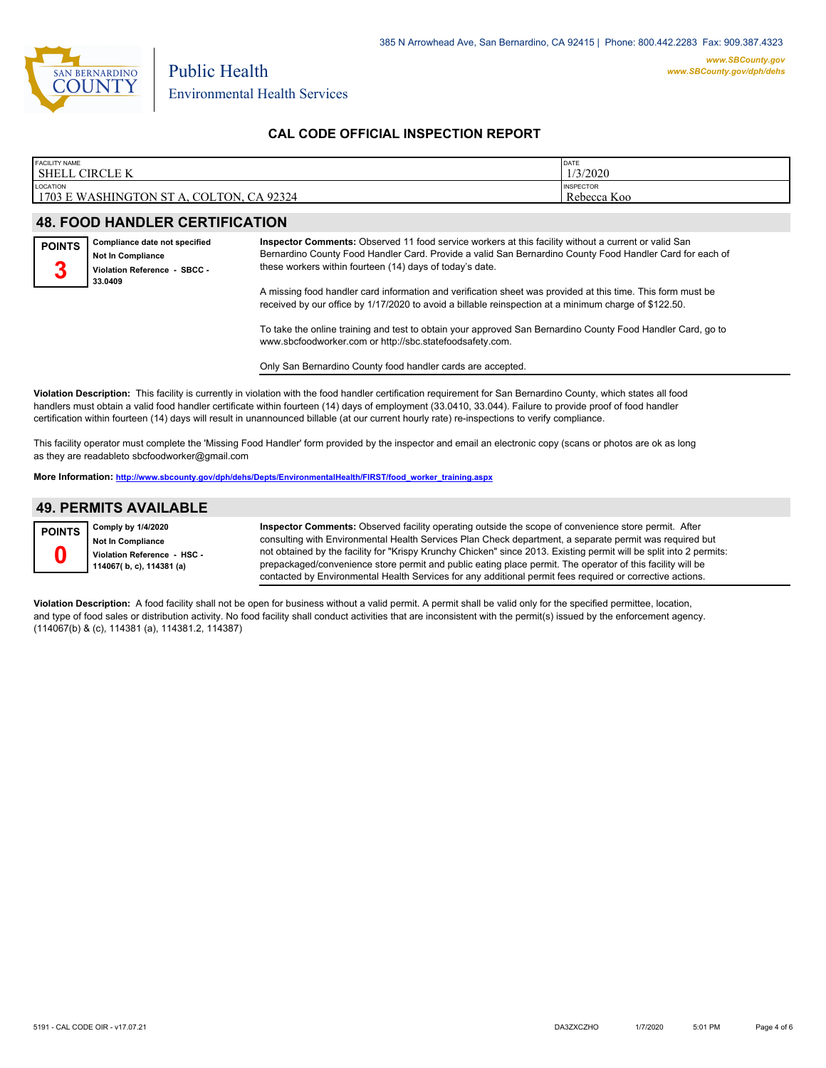

| <b>FACILITY NAME</b><br><b>SHELL</b><br>. CIRCLE K | <b>DATE</b><br>/3/2020 |
|----------------------------------------------------|------------------------|
| LOCATION                                           | <b>INSPECTOR</b>       |
| 1703 E WASHINGTON ST A, COLTON, CA 92324           | Rebecca Koo            |

### **48. FOOD HANDLER CERTIFICATION**

| <b>POINTS</b><br>$\ddot{\phantom{a}}$ | Compliance date not specified<br><b>Not In Compliance</b><br>Violation Reference - SBCC<br>33.0409 | Inspector Comments: Observed 11 food service workers at this facility without a current or valid San<br>Bernardino County Food Handler Card. Provide a valid San Bernardino County Food Handler Card for each of<br>these workers within fourteen (14) days of today's date. |
|---------------------------------------|----------------------------------------------------------------------------------------------------|------------------------------------------------------------------------------------------------------------------------------------------------------------------------------------------------------------------------------------------------------------------------------|
|                                       |                                                                                                    | A missing food handler card information and verification sheet was provided at this time. This form must be<br>received by our office by 1/17/2020 to avoid a billable reinspection at a minimum charge of \$122.50.                                                         |

To take the online training and test to obtain your approved San Bernardino County Food Handler Card, go to www.sbcfoodworker.com or http://sbc.statefoodsafety.com.

Only San Bernardino County food handler cards are accepted.

**Violation Description:** This facility is currently in violation with the food handler certification requirement for San Bernardino County, which states all food handlers must obtain a valid food handler certificate within fourteen (14) days of employment (33.0410, 33.044). Failure to provide proof of food handler certification within fourteen (14) days will result in unannounced billable (at our current hourly rate) re-inspections to verify compliance.

This facility operator must complete the 'Missing Food Handler' form provided by the inspector and email an electronic copy (scans or photos are ok as long as they are readableto sbcfoodworker@gmail.com

**More Information: [http://www.sbcounty.gov/dph/dehs/Depts/EnvironmentalHealth/FIRST/food\\_worker\\_training.aspx](http://www.sbcounty.gov/dph/dehs/Depts/EnvironmentalHealth/FIRST/food_worker_training.aspx)**

### **49. PERMITS AVAILABLE**

**Comply by 1/4/2020 Not In Compliance POINTS 0**

**Violation Reference - HSC - 114067( b, c), 114381 (a)**

**Inspector Comments:** Observed facility operating outside the scope of convenience store permit. After consulting with Environmental Health Services Plan Check department, a separate permit was required but not obtained by the facility for "Krispy Krunchy Chicken" since 2013. Existing permit will be split into 2 permits: prepackaged/convenience store permit and public eating place permit. The operator of this facility will be contacted by Environmental Health Services for any additional permit fees required or corrective actions.

**Violation Description:** A food facility shall not be open for business without a valid permit. A permit shall be valid only for the specified permittee, location, and type of food sales or distribution activity. No food facility shall conduct activities that are inconsistent with the permit(s) issued by the enforcement agency. (114067(b) & (c), 114381 (a), 114381.2, 114387)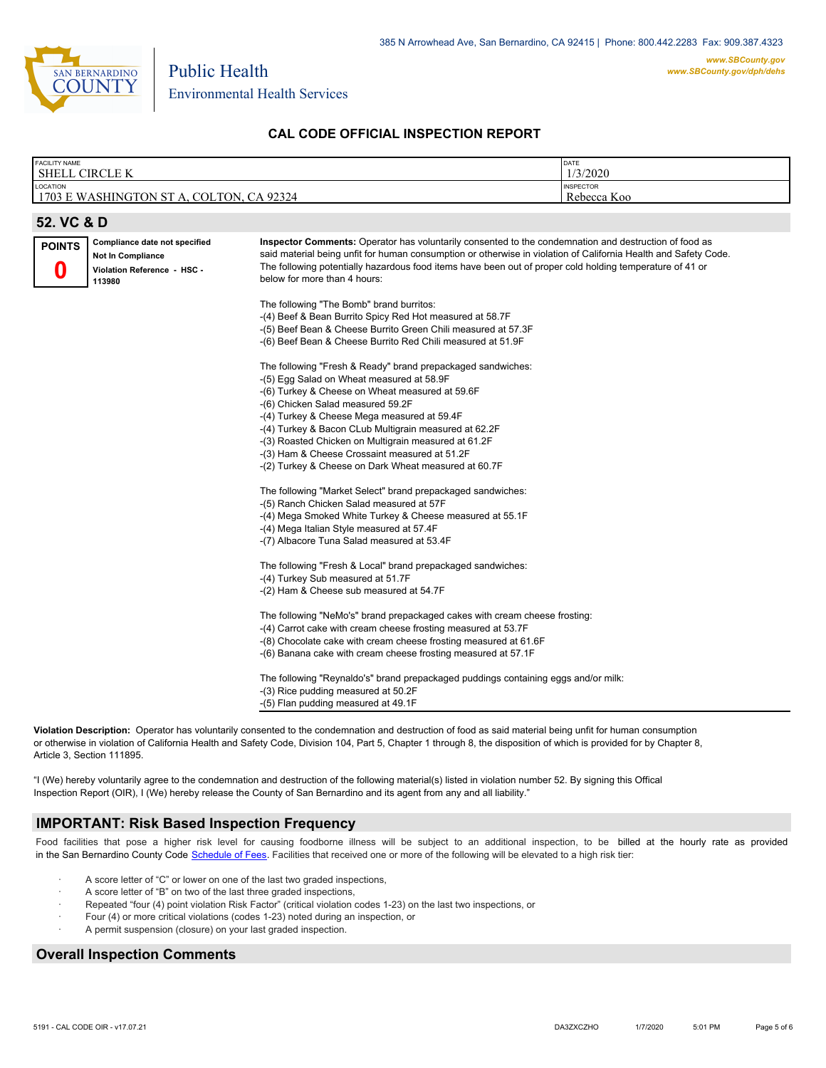

| <b>FACILITY NAME</b><br><b>SHELL CIRCLE K</b> |                                                                                                    |                                                                                                                                                                                                                                                                                                                                                                                                                                                                           | DATE<br>1/3/2020                |
|-----------------------------------------------|----------------------------------------------------------------------------------------------------|---------------------------------------------------------------------------------------------------------------------------------------------------------------------------------------------------------------------------------------------------------------------------------------------------------------------------------------------------------------------------------------------------------------------------------------------------------------------------|---------------------------------|
| LOCATION                                      | 1703 E WASHINGTON ST A, COLTON, CA 92324                                                           |                                                                                                                                                                                                                                                                                                                                                                                                                                                                           | <b>INSPECTOR</b><br>Rebecca Koo |
| 52. VC & D                                    |                                                                                                    |                                                                                                                                                                                                                                                                                                                                                                                                                                                                           |                                 |
| <b>POINTS</b><br>0                            | Compliance date not specified<br><b>Not In Compliance</b><br>Violation Reference - HSC -<br>113980 | Inspector Comments: Operator has voluntarily consented to the condemnation and destruction of food as<br>said material being unfit for human consumption or otherwise in violation of California Health and Safety Code.<br>The following potentially hazardous food items have been out of proper cold holding temperature of 41 or<br>below for more than 4 hours:                                                                                                      |                                 |
|                                               |                                                                                                    | The following "The Bomb" brand burritos:<br>-(4) Beef & Bean Burrito Spicy Red Hot measured at 58.7F<br>-(5) Beef Bean & Cheese Burrito Green Chili measured at 57.3F<br>-(6) Beef Bean & Cheese Burrito Red Chili measured at 51.9F                                                                                                                                                                                                                                      |                                 |
|                                               |                                                                                                    | The following "Fresh & Ready" brand prepackaged sandwiches:<br>-(5) Egg Salad on Wheat measured at 58.9F<br>-(6) Turkey & Cheese on Wheat measured at 59.6F<br>-(6) Chicken Salad measured 59.2F<br>-(4) Turkey & Cheese Mega measured at 59.4F<br>-(4) Turkey & Bacon CLub Multigrain measured at 62.2F<br>-(3) Roasted Chicken on Multigrain measured at 61.2F<br>-(3) Ham & Cheese Crossaint measured at 51.2F<br>-(2) Turkey & Cheese on Dark Wheat measured at 60.7F |                                 |
|                                               |                                                                                                    | The following "Market Select" brand prepackaged sandwiches:<br>-(5) Ranch Chicken Salad measured at 57F<br>-(4) Mega Smoked White Turkey & Cheese measured at 55.1F<br>-(4) Mega Italian Style measured at 57.4F<br>-(7) Albacore Tuna Salad measured at 53.4F                                                                                                                                                                                                            |                                 |
|                                               |                                                                                                    | The following "Fresh & Local" brand prepackaged sandwiches:<br>-(4) Turkey Sub measured at 51.7F<br>-(2) Ham & Cheese sub measured at 54.7F                                                                                                                                                                                                                                                                                                                               |                                 |
|                                               |                                                                                                    | The following "NeMo's" brand prepackaged cakes with cream cheese frosting:<br>-(4) Carrot cake with cream cheese frosting measured at 53.7F<br>-(8) Chocolate cake with cream cheese frosting measured at 61.6F<br>-(6) Banana cake with cream cheese frosting measured at 57.1F                                                                                                                                                                                          |                                 |
|                                               |                                                                                                    | The following "Reynaldo's" brand prepackaged puddings containing eggs and/or milk:<br>-(3) Rice pudding measured at 50.2F<br>-(5) Flan pudding measured at 49.1F                                                                                                                                                                                                                                                                                                          |                                 |

**Violation Description:** Operator has voluntarily consented to the condemnation and destruction of food as said material being unfit for human consumption or otherwise in violation of California Health and Safety Code, Division 104, Part 5, Chapter 1 through 8, the disposition of which is provided for by Chapter 8, Article 3, Section 111895.

"I (We) hereby voluntarily agree to the condemnation and destruction of the following material(s) listed in violation number 52. By signing this Offical Inspection Report (OIR), I (We) hereby release the County of San Bernardino and its agent from any and all liability."

### **IMPORTANT: Risk Based Inspection Frequency**

Food facilities that pose a higher risk level for causing foodborne illness will be subject to an additional inspection, to be billed at the hourly rate as provided in the San Bernardino County Code S[chedule of Fees. Facilitie](http://www.amlegal.com/nxt/gateway.dll/California/sanbernardinocounty_ca/title1governmentandadministration/division6countyfees/chapter2scheduleoffees?f=templates$fn=default.htm$3.0$vid=amlegal:sanbernardinocounty_ca$anc=JD_16.0213B)s that received one or more of the following will be elevated to a high risk tier:

- A score letter of "C" or lower on one of the last two graded inspections,
- A score letter of "B" on two of the last three graded inspections,
- Repeated "four (4) point violation Risk Factor" (critical violation codes 1-23) on the last two inspections, or
- · Four (4) or more critical violations (codes 1-23) noted during an inspection, or
- A permit suspension (closure) on your last graded inspection.

#### **Overall Inspection Comments**